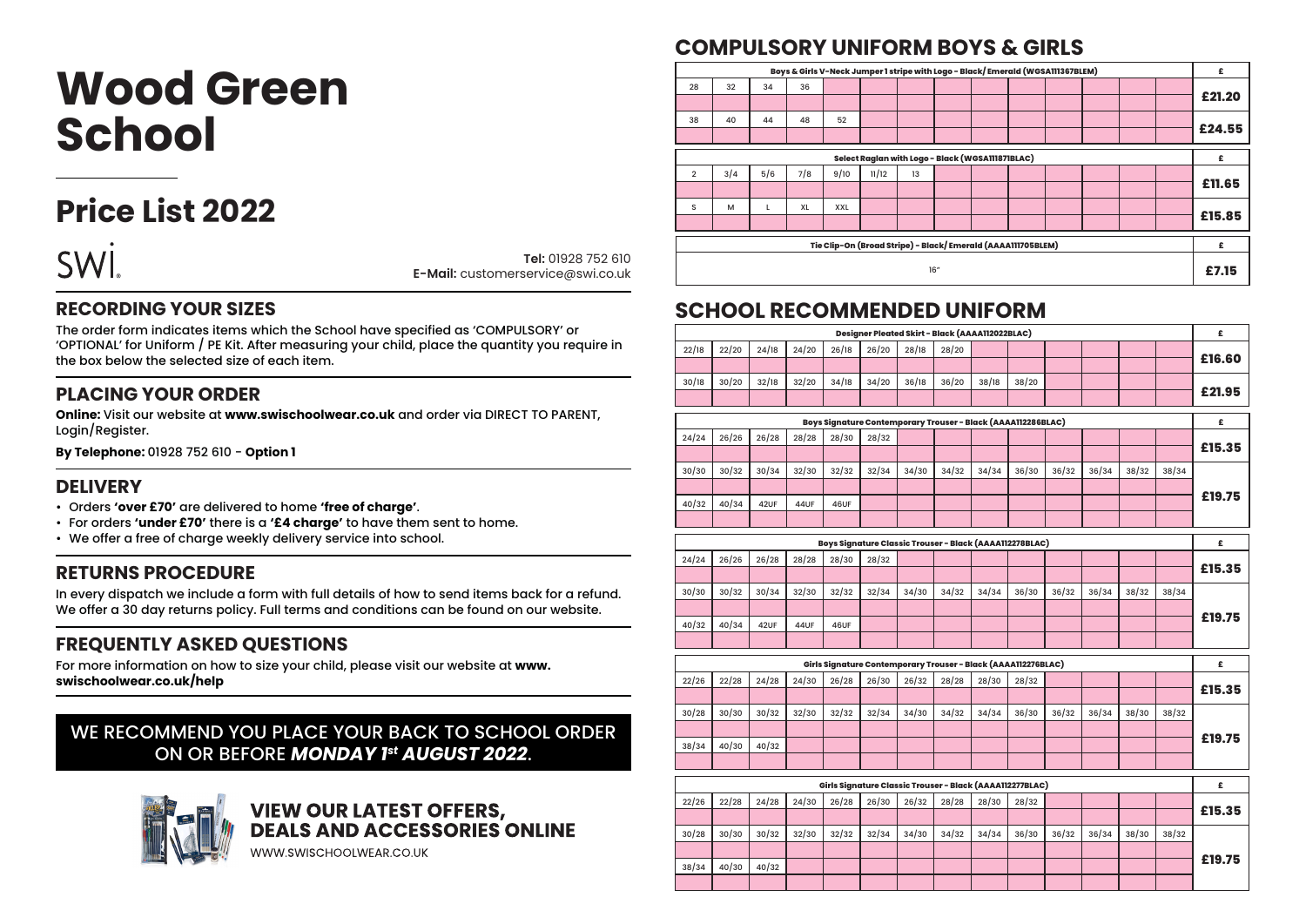# **Wood Green School**

### **Price List 2022**

|  | ä |
|--|---|

**Tel:** 01928 752 610 **E-Mail:** customerservice@swi.co.uk

#### **RECORDING YOUR SIZES**

The order form indicates items which the School have specified as 'COMPULSORY' or 'OPTIONAL' for Uniform / PE Kit. After measuring your child, place the quantity you require in the box below the selected size of each item.

#### **PLACING YOUR ORDER**

**Online:** Visit our website at **www.swischoolwear.co.uk** and order via DIRECT TO PARENT, Login/Register.

**By Telephone:** 01928 752 610 - **Option 1**

#### **DELIVERY**

- Orders **'over £70'** are delivered to home **'free of charge'**.
- For orders **'under £70'** there is a **'£4 charge'** to have them sent to home.
- We offer a free of charge weekly delivery service into school.

#### **RETURNS PROCEDURE**

In every dispatch we include a form with full details of how to send items back for a refund. We offer a 30 day returns policy. Full terms and conditions can be found on our website.

#### **FREQUENTLY ASKED QUESTIONS**

For more information on how to size your child, please visit our website at **www. swischoolwear.co.uk/help**

#### WE RECOMMEND YOU PLACE YOUR BACK TO SCHOOL ORDER ON OR BEFORE *MONDAY 1st AUGUST 2022*.



## **VIEW OUR LATEST OFFERS,<br>DEALS AND ACCESSORIES ONLINE**

WWW.SWISCHOOLWEAR.CO.UK

### **COMPULSORY UNIFORM BOYS & GIRLS**

| £      |                                                             | Boys & Girls V-Neck Jumper 1 stripe with Logo - Black/Emerald (WGSA111367BLEM) |  |  |  |  |  |    |       |      |     |     |     |                |
|--------|-------------------------------------------------------------|--------------------------------------------------------------------------------|--|--|--|--|--|----|-------|------|-----|-----|-----|----------------|
|        |                                                             |                                                                                |  |  |  |  |  |    |       |      | 36  | 34  | 32  | 28             |
| £21.20 |                                                             |                                                                                |  |  |  |  |  |    |       |      |     |     |     |                |
|        |                                                             |                                                                                |  |  |  |  |  |    |       | 52   | 48  | 44  | 40  | 38             |
| £24.55 |                                                             |                                                                                |  |  |  |  |  |    |       |      |     |     |     |                |
| £      | Select Ragian with Logo - Black (WGSA111871BLAC)            |                                                                                |  |  |  |  |  |    |       |      |     |     |     |                |
|        |                                                             |                                                                                |  |  |  |  |  | 13 | 11/12 | 9/10 | 7/8 | 5/6 | 3/4 | $\overline{2}$ |
| £11.65 |                                                             |                                                                                |  |  |  |  |  |    |       |      |     |     |     |                |
|        |                                                             |                                                                                |  |  |  |  |  |    |       | XXL  | XL  |     | M   | s              |
| £15.85 |                                                             |                                                                                |  |  |  |  |  |    |       |      |     |     |     |                |
| £      |                                                             |                                                                                |  |  |  |  |  |    |       |      |     |     |     |                |
|        | Tie Clip-On (Broad Stripe) - Black/Emerald (AAAA111705BLEM) |                                                                                |  |  |  |  |  |    |       |      |     |     |     |                |
| £7.15  |                                                             | 16"                                                                            |  |  |  |  |  |    |       |      |     |     |     |                |

#### **SCHOOL RECOMMENDED UNIFORM**

| £      | Designer Pleated Skirt - Black (AAAA112022BLAC) |       |       |       |                                                               |       |       |       |       |       |       |       |       |       |
|--------|-------------------------------------------------|-------|-------|-------|---------------------------------------------------------------|-------|-------|-------|-------|-------|-------|-------|-------|-------|
| £16.60 |                                                 |       |       |       |                                                               |       | 28/20 | 28/18 | 26/20 | 26/18 | 24/20 | 24/18 | 22/20 | 22/18 |
|        |                                                 |       |       |       |                                                               |       |       |       |       |       |       |       |       |       |
| £21.95 |                                                 |       |       |       | 38/20                                                         | 38/18 | 36/20 | 36/18 | 34/20 | 34/18 | 32/20 | 32/18 | 30/20 | 30/18 |
|        |                                                 |       |       |       |                                                               |       |       |       |       |       |       |       |       |       |
| £      |                                                 |       |       |       | Boys Signature Contemporary Trouser - Black (AAAA112286BLAC)  |       |       |       |       |       |       |       |       |       |
| £15.35 |                                                 |       |       |       |                                                               |       |       |       | 28/32 | 28/30 | 28/28 | 26/28 | 26/26 | 24/24 |
|        |                                                 |       |       |       |                                                               |       |       |       |       |       |       |       |       |       |
|        | 38/34                                           | 38/32 | 36/34 | 36/32 | 36/30                                                         | 34/34 | 34/32 | 34/30 | 32/34 | 32/32 | 32/30 | 30/34 | 30/32 | 30/30 |
| £19.75 |                                                 |       |       |       |                                                               |       |       |       |       |       |       |       |       |       |
|        |                                                 |       |       |       |                                                               |       |       |       |       | 46UF  | 44UF  | 42UF  | 40/34 | 40/32 |
|        |                                                 |       |       |       |                                                               |       |       |       |       |       |       |       |       |       |
| £      |                                                 |       |       |       | Boys Signature Classic Trouser - Black (AAAA112278BLAC)       |       |       |       |       |       |       |       |       |       |
| £15.35 |                                                 |       |       |       |                                                               |       |       |       | 28/32 | 28/30 | 28/28 | 26/28 | 26/26 | 24/24 |
|        |                                                 |       |       |       |                                                               |       |       |       |       |       |       |       |       |       |
| £19.75 | 38/34                                           | 38/32 | 36/34 | 36/32 | 36/30                                                         | 34/34 | 34/32 | 34/30 | 32/34 | 32/32 | 32/30 | 30/34 | 30/32 | 30/30 |
|        |                                                 |       |       |       |                                                               |       |       |       |       |       |       |       |       |       |
|        |                                                 |       |       |       |                                                               |       |       |       |       | 46UF  | 44UF  | 42UF  | 40/34 | 40/32 |
|        |                                                 |       |       |       |                                                               |       |       |       |       |       |       |       |       |       |
| £      |                                                 |       |       |       | Girls Signature Contemporary Trouser - Black (AAAA112276BLAC) |       |       |       |       |       |       |       |       |       |
| £15.35 |                                                 |       |       |       | 28/32                                                         | 28/30 | 28/28 | 26/32 | 26/30 | 26/28 | 24/30 | 24/28 | 22/28 | 22/26 |
|        |                                                 |       |       |       |                                                               |       |       |       |       |       |       |       |       |       |
|        | 38/32                                           | 38/30 | 36/34 | 36/32 | 36/30                                                         | 34/34 | 34/32 | 34/30 | 32/34 | 32/32 | 32/30 | 30/32 | 30/30 | 30/28 |
| £19.75 |                                                 |       |       |       |                                                               |       |       |       |       |       |       |       |       |       |
|        |                                                 |       |       |       |                                                               |       |       |       |       |       |       | 40/32 | 40/30 | 38/34 |
|        |                                                 |       |       |       |                                                               |       |       |       |       |       |       |       |       |       |
| £      |                                                 |       |       |       | Girls Signature Classic Trouser - Black (AAAA112277BLAC)      |       |       |       |       |       |       |       |       |       |
| £15.35 |                                                 |       |       |       | 28/32                                                         | 28/30 | 28/28 | 26/32 | 26/30 | 26/28 | 24/30 | 24/28 | 22/28 | 22/26 |
|        |                                                 |       |       |       |                                                               |       |       |       |       |       |       |       |       |       |
|        | 38/32                                           | 38/30 | 36/34 | 36/32 | 36/30                                                         | 34/34 | 34/32 | 34/30 | 32/34 | 32/32 | 32/30 | 30/32 | 30/30 | 30/28 |
| £19.75 |                                                 |       |       |       |                                                               |       |       |       |       |       |       |       |       |       |
|        |                                                 |       |       |       |                                                               |       |       |       |       |       |       | 40/32 | 40/30 | 38/34 |